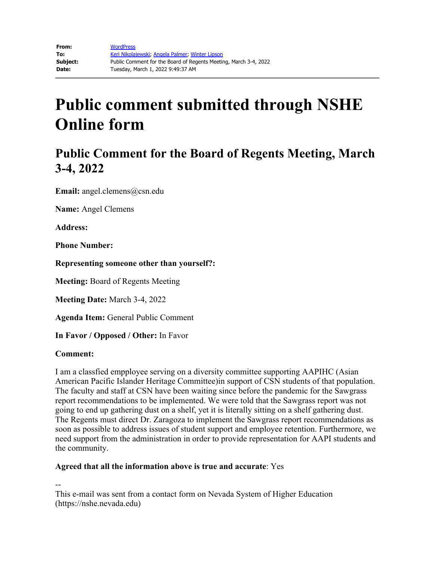## **Public Comment for the Board of Regents Meeting, March 3-4, 2022**

**Email:** angel.clemens@csn.edu

**Name:** Angel Clemens

**Address:** 

**Phone Number:** 

**Representing someone other than yourself?:**

**Meeting:** Board of Regents Meeting

**Meeting Date:** March 3-4, 2022

**Agenda Item:** General Public Comment

**In Favor / Opposed / Other:** In Favor

#### **Comment:**

I am a classfied empployee serving on a diversity committee supporting AAPIHC (Asian American Pacific Islander Heritage Committee)in support of CSN students of that population. The faculty and staff at CSN have been waiting since before the pandemic for the Sawgrass report recommendations to be implemented. We were told that the Sawgrass report was not going to end up gathering dust on a shelf, yet it is literally sitting on a shelf gathering dust. The Regents must direct Dr. Zaragoza to implement the Sawgrass report recommendations as soon as possible to address issues of student support and employee retention. Furthermore, we need support from the administration in order to provide representation for AAPI students and the community.

### **Agreed that all the information above is true and accurate**: Yes

--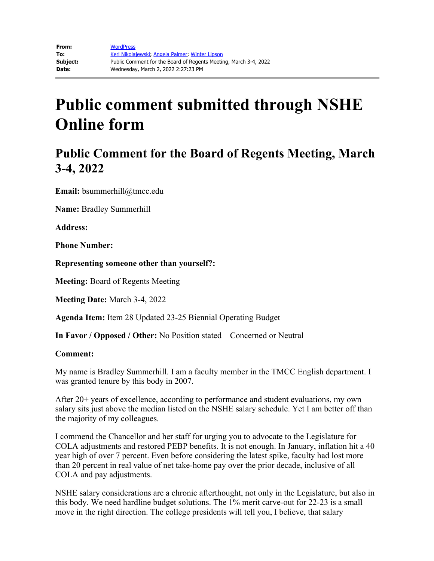## **Public Comment for the Board of Regents Meeting, March 3-4, 2022**

**Email:** bsummerhill@tmcc.edu

**Name:** Bradley Summerhill

**Address:** 

**Phone Number:** 

**Representing someone other than yourself?:**

**Meeting:** Board of Regents Meeting

**Meeting Date:** March 3-4, 2022

**Agenda Item:** Item 28 Updated 23-25 Biennial Operating Budget

**In Favor / Opposed / Other:** No Position stated – Concerned or Neutral

#### **Comment:**

My name is Bradley Summerhill. I am a faculty member in the TMCC English department. I was granted tenure by this body in 2007.

After 20+ years of excellence, according to performance and student evaluations, my own salary sits just above the median listed on the NSHE salary schedule. Yet I am better off than the majority of my colleagues.

I commend the Chancellor and her staff for urging you to advocate to the Legislature for COLA adjustments and restored PEBP benefits. It is not enough. In January, inflation hit a 40 year high of over 7 percent. Even before considering the latest spike, faculty had lost more than 20 percent in real value of net take-home pay over the prior decade, inclusive of all COLA and pay adjustments.

NSHE salary considerations are a chronic afterthought, not only in the Legislature, but also in this body. We need hardline budget solutions. The 1% merit carve-out for 22-23 is a small move in the right direction. The college presidents will tell you, I believe, that salary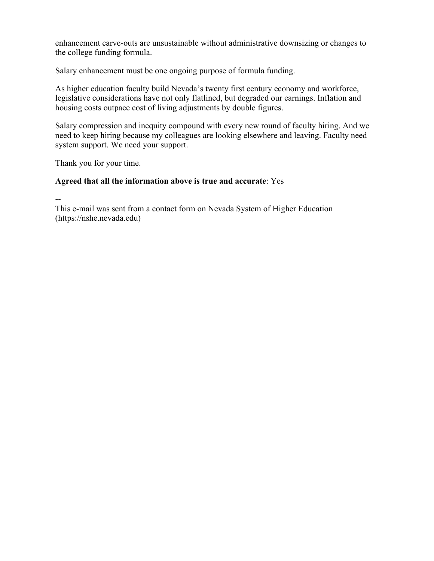enhancement carve-outs are unsustainable without administrative downsizing or changes to the college funding formula.

Salary enhancement must be one ongoing purpose of formula funding.

As higher education faculty build Nevada's twenty first century economy and workforce, legislative considerations have not only flatlined, but degraded our earnings. Inflation and housing costs outpace cost of living adjustments by double figures.

Salary compression and inequity compound with every new round of faculty hiring. And we need to keep hiring because my colleagues are looking elsewhere and leaving. Faculty need system support. We need your support.

Thank you for your time.

### **Agreed that all the information above is true and accurate**: Yes

--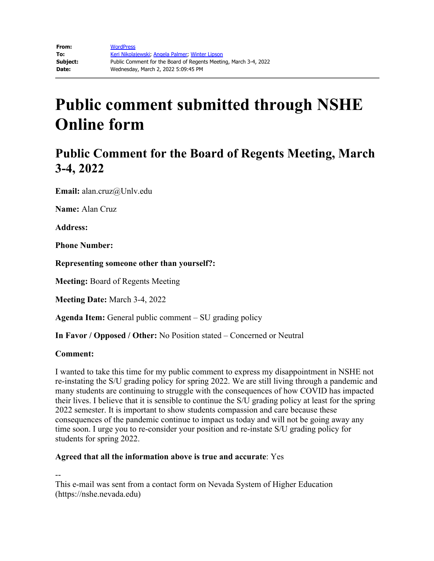## **Public Comment for the Board of Regents Meeting, March 3-4, 2022**

**Email:** alan.cruz@Unlv.edu

**Name:** Alan Cruz

**Address:**

**Phone Number:**

**Representing someone other than yourself?:**

**Meeting:** Board of Regents Meeting

**Meeting Date:** March 3-4, 2022

**Agenda Item:** General public comment – SU grading policy

**In Favor / Opposed / Other:** No Position stated – Concerned or Neutral

#### **Comment:**

I wanted to take this time for my public comment to express my disappointment in NSHE not re-instating the S/U grading policy for spring 2022. We are still living through a pandemic and many students are continuing to struggle with the consequences of how COVID has impacted their lives. I believe that it is sensible to continue the S/U grading policy at least for the spring 2022 semester. It is important to show students compassion and care because these consequences of the pandemic continue to impact us today and will not be going away any time soon. I urge you to re-consider your position and re-instate S/U grading policy for students for spring 2022.

### **Agreed that all the information above is true and accurate**: Yes

--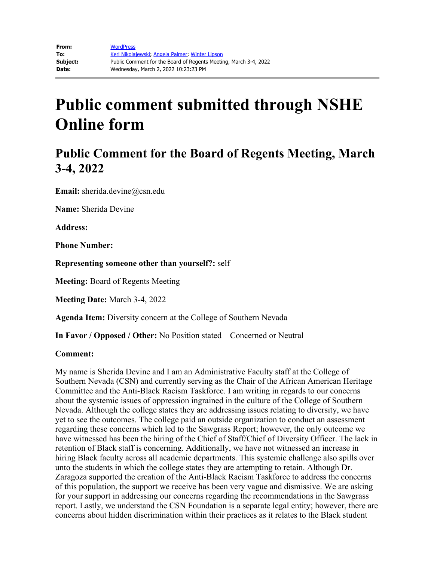## **Public Comment for the Board of Regents Meeting, March 3-4, 2022**

**Email:** sherida.devine@csn.edu

**Name:** Sherida Devine

**Address:** 

**Phone Number:** 

**Representing someone other than yourself?:** self

**Meeting:** Board of Regents Meeting

**Meeting Date:** March 3-4, 2022

**Agenda Item:** Diversity concern at the College of Southern Nevada

**In Favor / Opposed / Other:** No Position stated – Concerned or Neutral

#### **Comment:**

My name is Sherida Devine and I am an Administrative Faculty staff at the College of Southern Nevada (CSN) and currently serving as the Chair of the African American Heritage Committee and the Anti-Black Racism Taskforce. I am writing in regards to our concerns about the systemic issues of oppression ingrained in the culture of the College of Southern Nevada. Although the college states they are addressing issues relating to diversity, we have yet to see the outcomes. The college paid an outside organization to conduct an assessment regarding these concerns which led to the Sawgrass Report; however, the only outcome we have witnessed has been the hiring of the Chief of Staff/Chief of Diversity Officer. The lack in retention of Black staff is concerning. Additionally, we have not witnessed an increase in hiring Black faculty across all academic departments. This systemic challenge also spills over unto the students in which the college states they are attempting to retain. Although Dr. Zaragoza supported the creation of the Anti-Black Racism Taskforce to address the concerns of this population, the support we receive has been very vague and dismissive. We are asking for your support in addressing our concerns regarding the recommendations in the Sawgrass report. Lastly, we understand the CSN Foundation is a separate legal entity; however, there are concerns about hidden discrimination within their practices as it relates to the Black student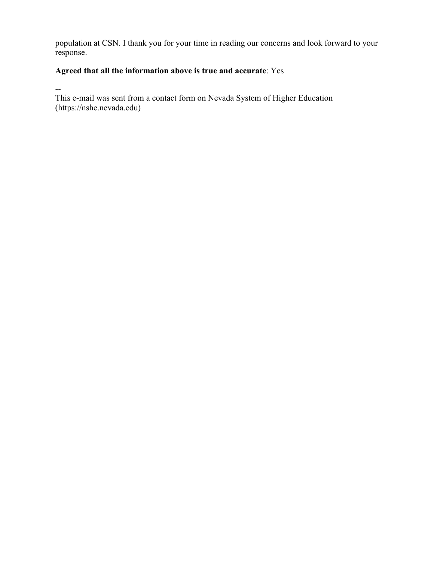population at CSN. I thank you for your time in reading our concerns and look forward to your response.

### **Agreed that all the information above is true and accurate**: Yes

--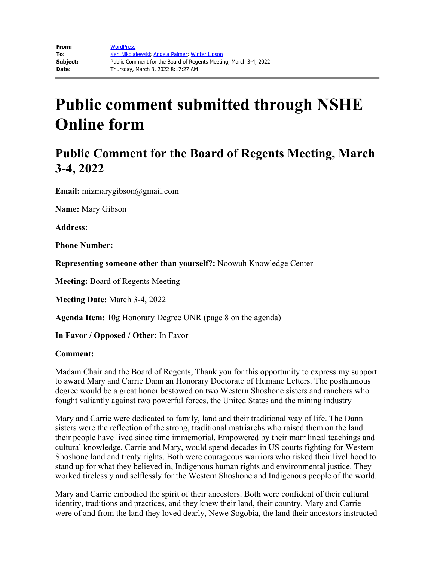## **Public Comment for the Board of Regents Meeting, March 3-4, 2022**

**Email:** mizmarygibson@gmail.com

**Name:** Mary Gibson

**Address:** 

**Phone Number:** 

**Representing someone other than yourself?:** Noowuh Knowledge Center

**Meeting:** Board of Regents Meeting

**Meeting Date:** March 3-4, 2022

**Agenda Item:** 10g Honorary Degree UNR (page 8 on the agenda)

**In Favor / Opposed / Other:** In Favor

#### **Comment:**

Madam Chair and the Board of Regents, Thank you for this opportunity to express my support to award Mary and Carrie Dann an Honorary Doctorate of Humane Letters. The posthumous degree would be a great honor bestowed on two Western Shoshone sisters and ranchers who fought valiantly against two powerful forces, the United States and the mining industry

Mary and Carrie were dedicated to family, land and their traditional way of life. The Dann sisters were the reflection of the strong, traditional matriarchs who raised them on the land their people have lived since time immemorial. Empowered by their matrilineal teachings and cultural knowledge, Carrie and Mary, would spend decades in US courts fighting for Western Shoshone land and treaty rights. Both were courageous warriors who risked their livelihood to stand up for what they believed in, Indigenous human rights and environmental justice. They worked tirelessly and selflessly for the Western Shoshone and Indigenous people of the world.

Mary and Carrie embodied the spirit of their ancestors. Both were confident of their cultural identity, traditions and practices, and they knew their land, their country. Mary and Carrie were of and from the land they loved dearly, Newe Sogobia, the land their ancestors instructed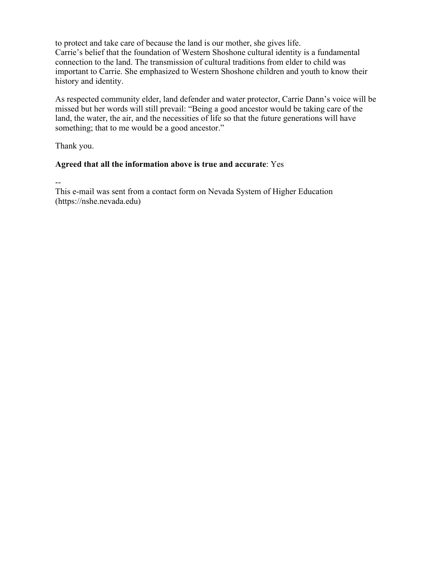to protect and take care of because the land is our mother, she gives life. Carrie's belief that the foundation of Western Shoshone cultural identity is a fundamental connection to the land. The transmission of cultural traditions from elder to child was important to Carrie. She emphasized to Western Shoshone children and youth to know their history and identity.

As respected community elder, land defender and water protector, Carrie Dann's voice will be missed but her words will still prevail: "Being a good ancestor would be taking care of the land, the water, the air, and the necessities of life so that the future generations will have something; that to me would be a good ancestor."

Thank you.

### **Agreed that all the information above is true and accurate**: Yes

--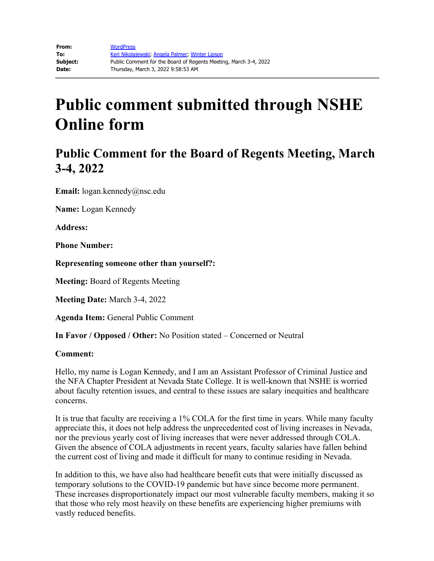## **Public Comment for the Board of Regents Meeting, March 3-4, 2022**

**Email:** logan.kennedy@nsc.edu

**Name:** Logan Kennedy

**Address:**

**Phone Number:**

**Representing someone other than yourself?:**

**Meeting:** Board of Regents Meeting

**Meeting Date:** March 3-4, 2022

**Agenda Item:** General Public Comment

**In Favor / Opposed / Other:** No Position stated – Concerned or Neutral

#### **Comment:**

Hello, my name is Logan Kennedy, and I am an Assistant Professor of Criminal Justice and the NFA Chapter President at Nevada State College. It is well-known that NSHE is worried about faculty retention issues, and central to these issues are salary inequities and healthcare concerns.

It is true that faculty are receiving a 1% COLA for the first time in years. While many faculty appreciate this, it does not help address the unprecedented cost of living increases in Nevada, nor the previous yearly cost of living increases that were never addressed through COLA. Given the absence of COLA adjustments in recent years, faculty salaries have fallen behind the current cost of living and made it difficult for many to continue residing in Nevada.

In addition to this, we have also had healthcare benefit cuts that were initially discussed as temporary solutions to the COVID-19 pandemic but have since become more permanent. These increases disproportionately impact our most vulnerable faculty members, making it so that those who rely most heavily on these benefits are experiencing higher premiums with vastly reduced benefits.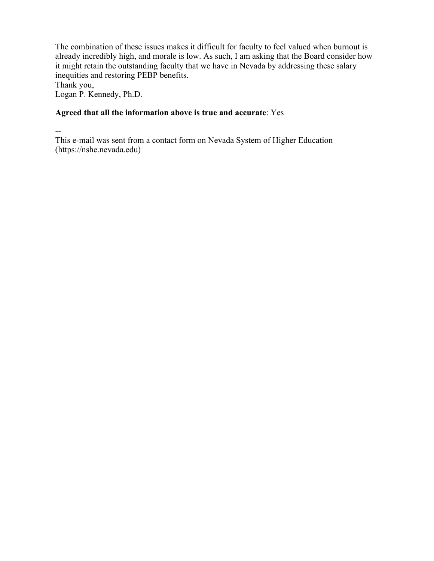The combination of these issues makes it difficult for faculty to feel valued when burnout is already incredibly high, and morale is low. As such, I am asking that the Board consider how it might retain the outstanding faculty that we have in Nevada by addressing these salary inequities and restoring PEBP benefits.

Thank you,

Logan P. Kennedy, Ph.D.

### **Agreed that all the information above is true and accurate**: Yes

--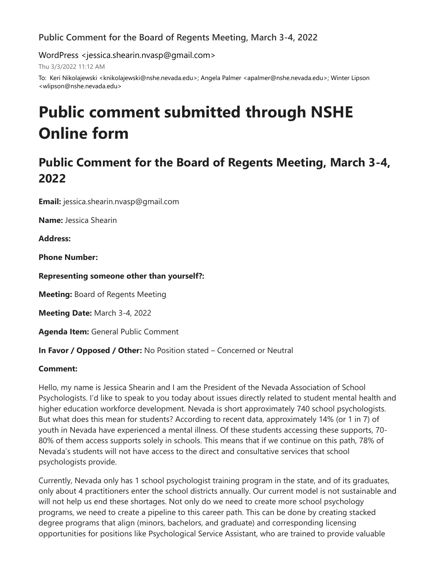### **Public Comment for the Board of Regents Meeting, March 3-4, 2022**

WordPress <jessica.shearin.nvasp@gmail.com>

Thu 3/3/2022 11:12 AM

To: Keri Nikolajewski <knikolajewski@nshe.nevada.edu>; Angela Palmer <apalmer@nshe.nevada.edu>; Winter Lipson <wlipson@nshe.nevada.edu>

# **Public comment submitted through NSHE Online form**

## **Public Comment for the Board of Regents Meeting, March 3-4, 2022**

**Email:** jessica.shearin.nvasp@gmail.com

**Name:** Jessica Shearin

**Address:**

**Phone Number:** 

**Representing someone other than yourself?:**

**Meeting:** Board of Regents Meeting

**Meeting Date:** March 3-4, 2022

**Agenda Item:** General Public Comment

**In Favor / Opposed / Other:** No Position stated – Concerned or Neutral

### **Comment:**

Hello, my name is Jessica Shearin and I am the President of the Nevada Association of School Psychologists. I'd like to speak to you today about issues directly related to student mental health and higher education workforce development. Nevada is short approximately 740 school psychologists. But what does this mean for students? According to recent data, approximately 14% (or 1 in 7) of youth in Nevada have experienced a mental illness. Of these students accessing these supports, 70- 80% of them access supports solely in schools. This means that if we continue on this path, 78% of Nevada's students will not have access to the direct and consultative services that school psychologists provide.

Currently, Nevada only has 1 school psychologist training program in the state, and of its graduates, only about 4 practitioners enter the school districts annually. Our current model is not sustainable and will not help us end these shortages. Not only do we need to create more school psychology programs, we need to create a pipeline to this career path. This can be done by creating stacked degree programs that align (minors, bachelors, and graduate) and corresponding licensing opportunities for positions like Psychological Service Assistant, who are trained to provide valuable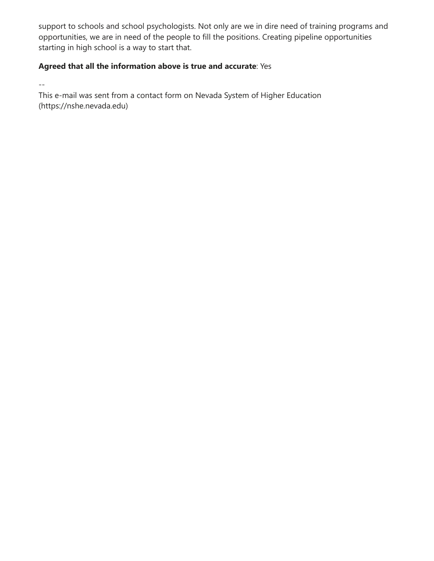support to schools and school psychologists. Not only are we in dire need of training programs and opportunities, we are in need of the people to fill the positions. Creating pipeline opportunities starting in high school is a way to start that.

### **Agreed that all the information above is true and accurate**: Yes

--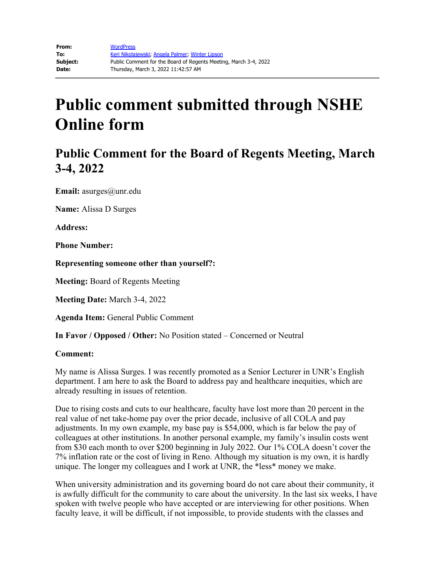## **Public Comment for the Board of Regents Meeting, March 3-4, 2022**

**Email:** asurges@unr.edu

**Name:** Alissa D Surges

**Address:** 

**Phone Number:** 

**Representing someone other than yourself?:**

**Meeting:** Board of Regents Meeting

**Meeting Date:** March 3-4, 2022

**Agenda Item:** General Public Comment

**In Favor / Opposed / Other:** No Position stated – Concerned or Neutral

#### **Comment:**

My name is Alissa Surges. I was recently promoted as a Senior Lecturer in UNR's English department. I am here to ask the Board to address pay and healthcare inequities, which are already resulting in issues of retention.

Due to rising costs and cuts to our healthcare, faculty have lost more than 20 percent in the real value of net take-home pay over the prior decade, inclusive of all COLA and pay adjustments. In my own example, my base pay is \$54,000, which is far below the pay of colleagues at other institutions. In another personal example, my family's insulin costs went from \$30 each month to over \$200 beginning in July 2022. Our 1% COLA doesn't cover the 7% inflation rate or the cost of living in Reno. Although my situation is my own, it is hardly unique. The longer my colleagues and I work at UNR, the \*less\* money we make.

When university administration and its governing board do not care about their community, it is awfully difficult for the community to care about the university. In the last six weeks, I have spoken with twelve people who have accepted or are interviewing for other positions. When faculty leave, it will be difficult, if not impossible, to provide students with the classes and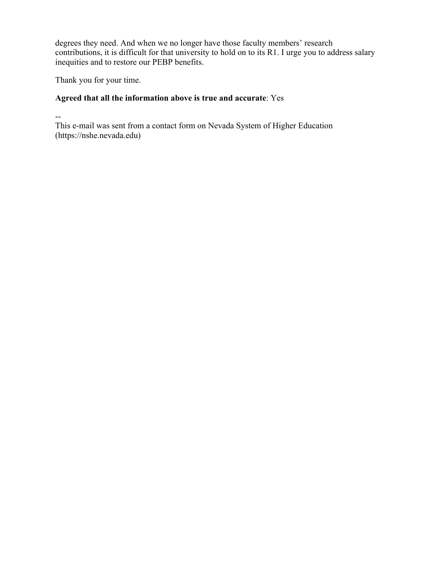degrees they need. And when we no longer have those faculty members' research contributions, it is difficult for that university to hold on to its R1. I urge you to address salary inequities and to restore our PEBP benefits.

Thank you for your time.

### **Agreed that all the information above is true and accurate**: Yes

--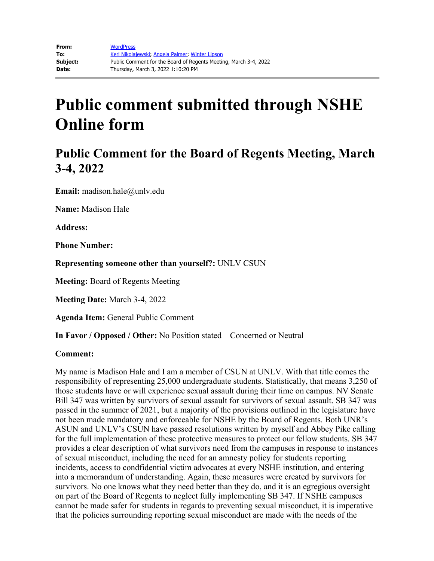## **Public Comment for the Board of Regents Meeting, March 3-4, 2022**

**Email:** madison.hale@unlv.edu

**Name:** Madison Hale

**Address:** 

**Phone Number:** 

**Representing someone other than yourself?:** UNLV CSUN

**Meeting:** Board of Regents Meeting

**Meeting Date:** March 3-4, 2022

**Agenda Item:** General Public Comment

**In Favor / Opposed / Other:** No Position stated – Concerned or Neutral

#### **Comment:**

My name is Madison Hale and I am a member of CSUN at UNLV. With that title comes the responsibility of representing 25,000 undergraduate students. Statistically, that means 3,250 of those students have or will experience sexual assault during their time on campus. NV Senate Bill 347 was written by survivors of sexual assault for survivors of sexual assault. SB 347 was passed in the summer of 2021, but a majority of the provisions outlined in the legislature have not been made mandatory and enforceable for NSHE by the Board of Regents. Both UNR's ASUN and UNLV's CSUN have passed resolutions written by myself and Abbey Pike calling for the full implementation of these protective measures to protect our fellow students. SB 347 provides a clear description of what survivors need from the campuses in response to instances of sexual misconduct, including the need for an amnesty policy for students reporting incidents, access to condfidential victim advocates at every NSHE institution, and entering into a memorandum of understanding. Again, these measures were created by survivors for survivors. No one knows what they need better than they do, and it is an egregious oversight on part of the Board of Regents to neglect fully implementing SB 347. If NSHE campuses cannot be made safer for students in regards to preventing sexual misconduct, it is imperative that the policies surrounding reporting sexual misconduct are made with the needs of the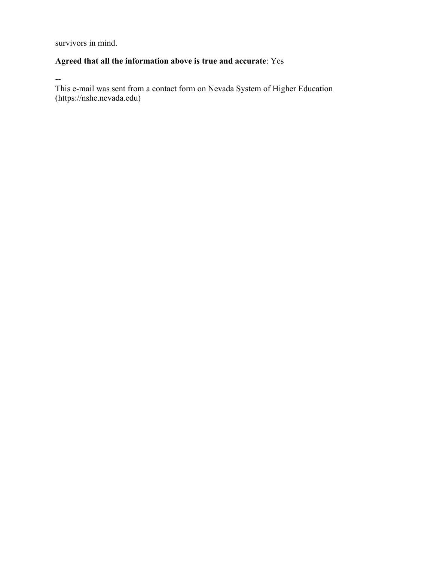survivors in mind.

### **Agreed that all the information above is true and accurate**: Yes

--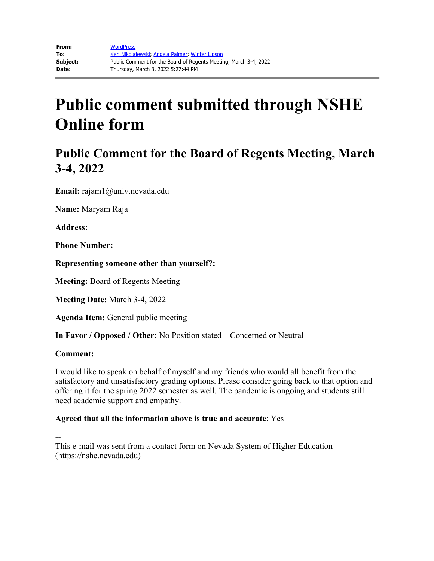## **Public Comment for the Board of Regents Meeting, March 3-4, 2022**

**Email:** rajam1@unlv.nevada.edu

**Name:** Maryam Raja

**Address:**

**Phone Number:**

**Representing someone other than yourself?:**

**Meeting:** Board of Regents Meeting

**Meeting Date:** March 3-4, 2022

**Agenda Item:** General public meeting

**In Favor / Opposed / Other:** No Position stated – Concerned or Neutral

#### **Comment:**

I would like to speak on behalf of myself and my friends who would all benefit from the satisfactory and unsatisfactory grading options. Please consider going back to that option and offering it for the spring 2022 semester as well. The pandemic is ongoing and students still need academic support and empathy.

### **Agreed that all the information above is true and accurate**: Yes

--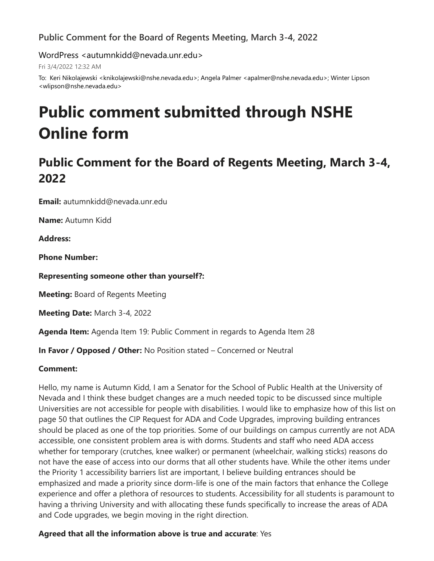### **Public Comment for the Board of Regents Meeting, March 3-4, 2022**

WordPress <autumnkidd@nevada.unr.edu>

Fri 3/4/2022 12:32 AM

To: Keri Nikolajewski <knikolajewski@nshe.nevada.edu>; Angela Palmer <apalmer@nshe.nevada.edu>; Winter Lipson <wlipson@nshe.nevada.edu>

# **Public comment submitted through NSHE Online form**

## **Public Comment for the Board of Regents Meeting, March 3-4, 2022**

**Email:** autumnkidd@nevada.unr.edu

**Name:** Autumn Kidd

**Address:**

**Phone Number:**

**Representing someone other than yourself?:**

**Meeting:** Board of Regents Meeting

**Meeting Date:** March 3-4, 2022

**Agenda Item:** Agenda Item 19: Public Comment in regards to Agenda Item 28

**In Favor / Opposed / Other:** No Position stated – Concerned or Neutral

### **Comment:**

Hello, my name is Autumn Kidd, I am a Senator for the School of Public Health at the University of Nevada and I think these budget changes are a much needed topic to be discussed since multiple Universities are not accessible for people with disabilities. I would like to emphasize how of this list on page 50 that outlines the CIP Request for ADA and Code Upgrades, improving building entrances should be placed as one of the top priorities. Some of our buildings on campus currently are not ADA accessible, one consistent problem area is with dorms. Students and staff who need ADA access whether for temporary (crutches, knee walker) or permanent (wheelchair, walking sticks) reasons do not have the ease of access into our dorms that all other students have. While the other items under the Priority 1 accessibility barriers list are important, I believe building entrances should be emphasized and made a priority since dorm-life is one of the main factors that enhance the College experience and offer a plethora of resources to students. Accessibility for all students is paramount to having a thriving University and with allocating these funds specifically to increase the areas of ADA and Code upgrades, we begin moving in the right direction.

**Agreed that all the information above is true and accurate**: Yes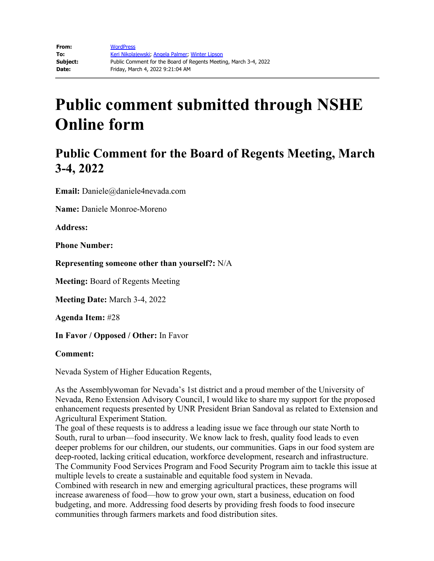## **Public Comment for the Board of Regents Meeting, March 3-4, 2022**

**Email:** Daniele@daniele4nevada.com

**Name:** Daniele Monroe-Moreno

**Address:** 

**Phone Number:** 

**Representing someone other than yourself?:** N/A

**Meeting:** Board of Regents Meeting

**Meeting Date:** March 3-4, 2022

**Agenda Item:** #28

**In Favor / Opposed / Other:** In Favor

### **Comment:**

Nevada System of Higher Education Regents,

As the Assemblywoman for Nevada's 1st district and a proud member of the University of Nevada, Reno Extension Advisory Council, I would like to share my support for the proposed enhancement requests presented by UNR President Brian Sandoval as related to Extension and Agricultural Experiment Station.

The goal of these requests is to address a leading issue we face through our state North to South, rural to urban—food insecurity. We know lack to fresh, quality food leads to even deeper problems for our children, our students, our communities. Gaps in our food system are deep-rooted, lacking critical education, workforce development, research and infrastructure. The Community Food Services Program and Food Security Program aim to tackle this issue at multiple levels to create a sustainable and equitable food system in Nevada.

Combined with research in new and emerging agricultural practices, these programs will increase awareness of food—how to grow your own, start a business, education on food budgeting, and more. Addressing food deserts by providing fresh foods to food insecure communities through farmers markets and food distribution sites.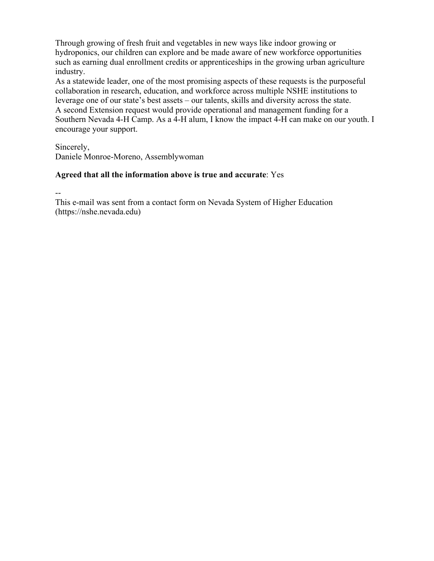Through growing of fresh fruit and vegetables in new ways like indoor growing or hydroponics, our children can explore and be made aware of new workforce opportunities such as earning dual enrollment credits or apprenticeships in the growing urban agriculture industry.

As a statewide leader, one of the most promising aspects of these requests is the purposeful collaboration in research, education, and workforce across multiple NSHE institutions to leverage one of our state's best assets – our talents, skills and diversity across the state. A second Extension request would provide operational and management funding for a Southern Nevada 4-H Camp. As a 4-H alum, I know the impact 4-H can make on our youth. I encourage your support.

Sincerely,

Daniele Monroe-Moreno, Assemblywoman

### **Agreed that all the information above is true and accurate**: Yes

--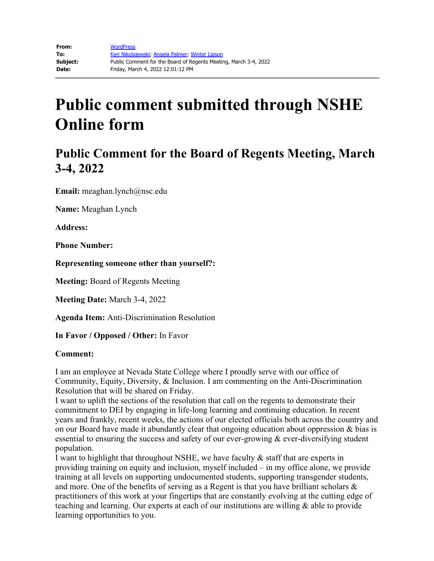## **Public Comment for the Board of Regents Meeting, March 3-4, 2022**

**Email:** meaghan.lynch@nsc.edu

**Name:** Meaghan Lynch

**Address:** 

**Phone Number:** 

**Representing someone other than yourself?:**

**Meeting:** Board of Regents Meeting

**Meeting Date:** March 3-4, 2022

**Agenda Item:** Anti-Discrimination Resolution

**In Favor / Opposed / Other:** In Favor

#### **Comment:**

I am an employee at Nevada State College where I proudly serve with our office of Community, Equity, Diversity, & Inclusion. I am commenting on the Anti-Discrimination Resolution that will be shared on Friday.

I want to uplift the sections of the resolution that call on the regents to demonstrate their commitment to DEI by engaging in life-long learning and continuing education. In recent years and frankly, recent weeks, the actions of our elected officials both across the country and on our Board have made it abundantly clear that ongoing education about oppression & bias is essential to ensuring the success and safety of our ever-growing & ever-diversifying student population.

I want to highlight that throughout NSHE, we have faculty & staff that are experts in providing training on equity and inclusion, myself included – in my office alone, we provide training at all levels on supporting undocumented students, supporting transgender students, and more. One of the benefits of serving as a Regent is that you have brilliant scholars & practitioners of this work at your fingertips that are constantly evolving at the cutting edge of teaching and learning. Our experts at each of our institutions are willing & able to provide learning opportunities to you.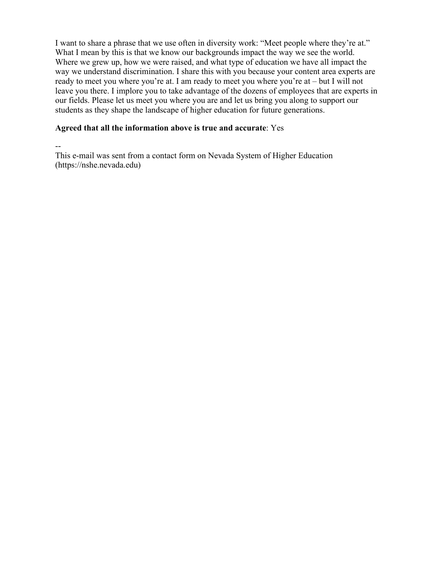I want to share a phrase that we use often in diversity work: "Meet people where they're at." What I mean by this is that we know our backgrounds impact the way we see the world. Where we grew up, how we were raised, and what type of education we have all impact the way we understand discrimination. I share this with you because your content area experts are ready to meet you where you're at. I am ready to meet you where you're at – but I will not leave you there. I implore you to take advantage of the dozens of employees that are experts in our fields. Please let us meet you where you are and let us bring you along to support our students as they shape the landscape of higher education for future generations.

### **Agreed that all the information above is true and accurate**: Yes

--